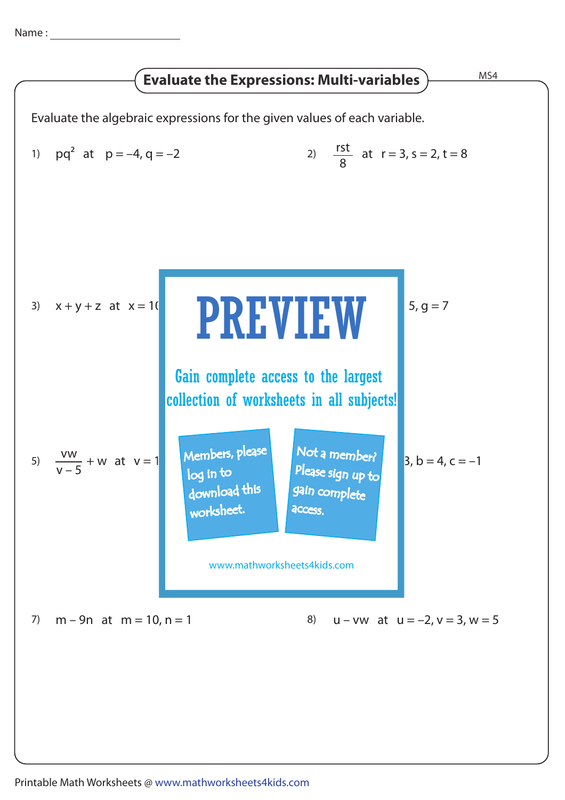